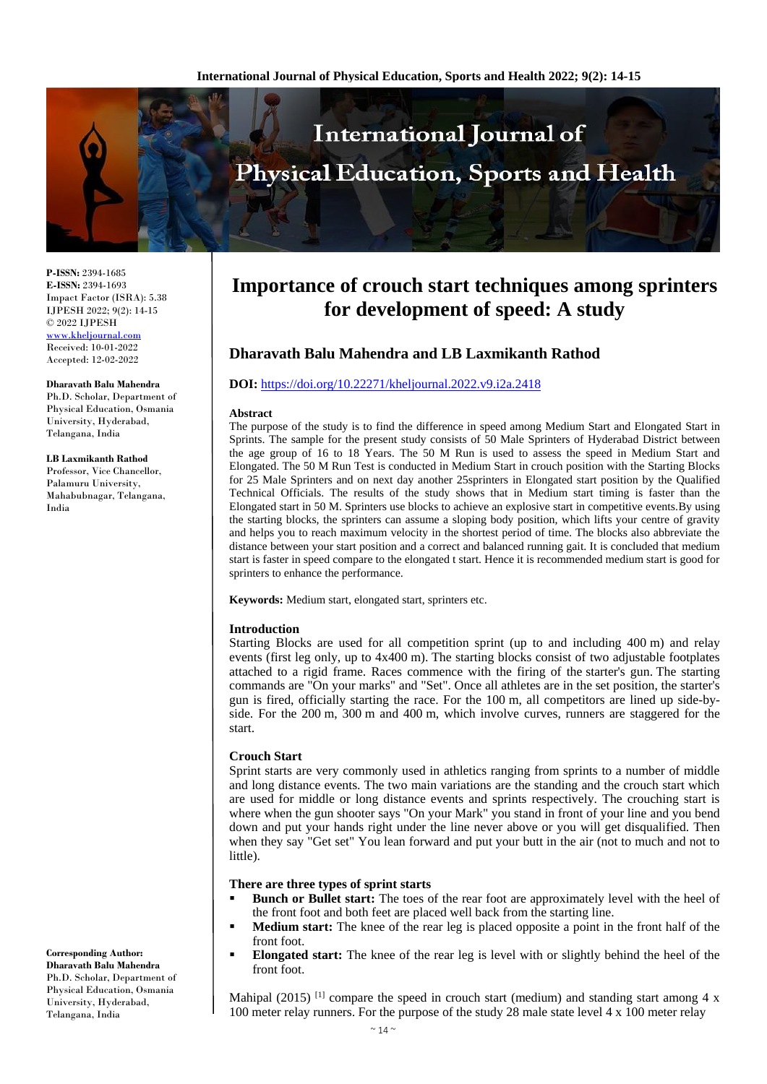

**P-ISSN:** 2394-1685 **E-ISSN:** 2394-1693 Impact Factor (ISRA): 5.38 IJPESH 2022; 9(2): 14-15 © 2022 IJPESH [www.kheljournal.com](http://www.kheljournal.com/) Received: 10-01-2022 Accepted: 12-02-2022

**Dharavath Balu Mahendra**

Ph.D. Scholar, Department of Physical Education, Osmania University, Hyderabad, Telangana, India

#### **LB Laxmikanth Rathod**

Professor, Vice Chancellor, Palamuru University, Mahabubnagar, Telangana, India

**Importance of crouch start techniques among sprinters for development of speed: A study**

# **Dharavath Balu Mahendra and LB Laxmikanth Rathod**

## **DOI:** <https://doi.org/10.22271/kheljournal.2022.v9.i2a.2418>

#### **Abstract**

The purpose of the study is to find the difference in speed among Medium Start and Elongated Start in Sprints. The sample for the present study consists of 50 Male Sprinters of Hyderabad District between the age group of 16 to 18 Years. The 50 M Run is used to assess the speed in Medium Start and Elongated. The 50 M Run Test is conducted in Medium Start in crouch position with the Starting Blocks for 25 Male Sprinters and on next day another 25sprinters in Elongated start position by the Qualified Technical Officials. The results of the study shows that in Medium start timing is faster than the Elongated start in 50 M. Sprinters use blocks to achieve an explosive start in competitive events.By using the starting blocks, the sprinters can assume a sloping body position, which lifts your centre of gravity and helps you to reach maximum velocity in the shortest period of time. The blocks also abbreviate the distance between your start position and a correct and balanced running gait. It is concluded that medium start is faster in speed compare to the elongated t start. Hence it is recommended medium start is good for sprinters to enhance the performance.

**Keywords:** Medium start, elongated start, sprinters etc.

#### **Introduction**

Starting Blocks are used for all competition sprint (up to and including 400 m) and relay events (first leg only, up to 4x400 m). The starting blocks consist of two adjustable footplates attached to a rigid frame. Races commence with the firing of the starter's gun. The starting commands are "On your marks" and "Set". Once all athletes are in the set position, the starter's gun is fired, officially starting the race. For the 100 m, all competitors are lined up side-byside. For the 200 m, 300 m and 400 m, which involve curves, runners are staggered for the start.

#### **Crouch Start**

Sprint starts are very commonly used in athletics ranging from sprints to a number of middle and long distance events. The two main variations are the standing and the crouch start which are used for middle or long distance events and sprints respectively. The crouching start is where when the gun shooter says "On your Mark" you stand in front of your line and you bend down and put your hands right under the line never above or you will get disqualified. Then when they say "Get set" You lean forward and put your butt in the air (not to much and not to little).

## **There are three types of sprint starts**

- **Bunch or Bullet start:** The toes of the rear foot are approximately level with the heel of the front foot and both feet are placed well back from the starting line.
- **Medium start:** The knee of the rear leg is placed opposite a point in the front half of the front foot.
- **Elongated start:** The knee of the rear leg is level with or slightly behind the heel of the front foot.

Mahipal (2015)<sup>[1]</sup> compare the speed in crouch start (medium) and standing start among 4 x 100 meter relay runners. For the purpose of the study 28 male state level 4 x 100 meter relay

**Corresponding Author: Dharavath Balu Mahendra** Ph.D. Scholar, Department of Physical Education, Osmania University, Hyderabad, Telangana, India